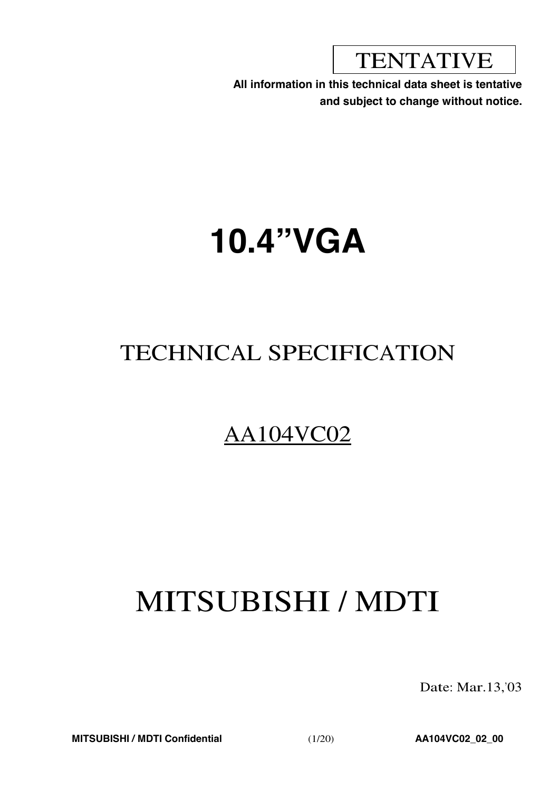**TENTATIVE** 

**All information in this technical data sheet is tentative and subject to change without notice.**

# **10.4"VGA**

# TECHNICAL SPECIFICATION

# AA104VC02

# MITSUBISHI / MDTI

Date: Mar.13,'03

**MITSUBISHI / MDTI Confidential** (1/20) **AA104VC02\_02\_00**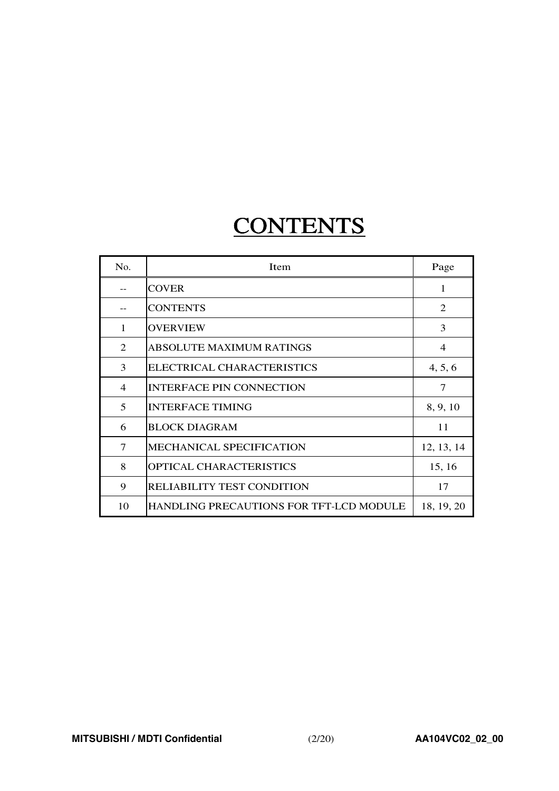# **CONTENTS**

| No.            | <b>Item</b>                                    | Page           |
|----------------|------------------------------------------------|----------------|
|                | <b>COVER</b>                                   | $\mathbf{1}$   |
|                | <b>CONTENTS</b>                                | $\overline{2}$ |
| 1              | <b>OVERVIEW</b>                                | 3              |
| $\mathfrak{D}$ | <b>ABSOLUTE MAXIMUM RATINGS</b>                | $\overline{4}$ |
| 3              | ELECTRICAL CHARACTERISTICS                     | 4, 5, 6        |
| $\overline{4}$ | <b>INTERFACE PIN CONNECTION</b>                | 7              |
| 5              | <b>INTERFACE TIMING</b>                        | 8, 9, 10       |
| 6              | <b>BLOCK DIAGRAM</b>                           | 11             |
| 7              | MECHANICAL SPECIFICATION                       | 12, 13, 14     |
| 8              | <b>OPTICAL CHARACTERISTICS</b>                 | 15, 16         |
| 9              | RELIABILITY TEST CONDITION                     | 17             |
| 10             | <b>HANDLING PRECAUTIONS FOR TFT-LCD MODULE</b> | 18, 19, 20     |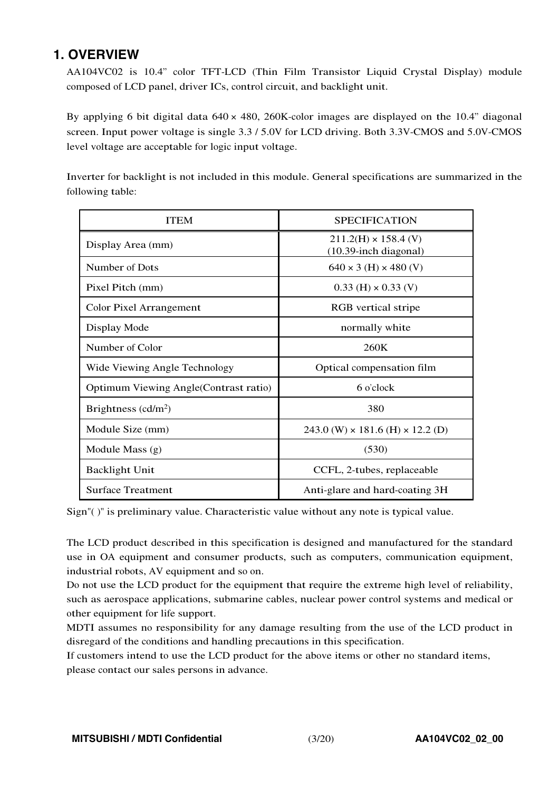### **1. OVERVIEW**

AA104VC02 is 10.4" color TFT-LCD (Thin Film Transistor Liquid Crystal Display) module composed of LCD panel, driver ICs, control circuit, and backlight unit.

By applying <sup>6</sup> bit digital data <sup>640</sup> × 480, 260K-color images are displayed on the 10.4" diagonal screen. Input power voltage is single 3.3 / 5.0V for LCD driving. Both 3.3V-CMOS and 5.0V-CMOS level voltage are acceptable for logic input voltage.

Inverter for backlight is not included in this module. General specifications are summarized in the following table:

| <b>ITEM</b>                            | <b>SPECIFICATION</b>                                    |
|----------------------------------------|---------------------------------------------------------|
| Display Area (mm)                      | $211.2(H) \times 158.4$ (V)<br>$(10.39$ -inch diagonal) |
| Number of Dots                         | $640 \times 3$ (H) $\times$ 480 (V)                     |
| Pixel Pitch (mm)                       | $0.33$ (H) $\times$ 0.33 (V)                            |
| <b>Color Pixel Arrangement</b>         | RGB vertical stripe                                     |
| Display Mode                           | normally white                                          |
| Number of Color                        | 260K                                                    |
| Wide Viewing Angle Technology          | Optical compensation film                               |
| Optimum Viewing Angle (Contrast ratio) | 6 o'clock                                               |
| Brightness $(cd/m2)$                   | 380                                                     |
| Module Size (mm)                       | $243.0$ (W) $\times$ 181.6 (H) $\times$ 12.2 (D)        |
| Module Mass (g)                        | (530)                                                   |
| <b>Backlight Unit</b>                  | CCFL, 2-tubes, replaceable                              |
| <b>Surface Treatment</b>               | Anti-glare and hard-coating 3H                          |

Sign"( )" is preliminary value. Characteristic value without any note is typical value.

The LCD product described in this specification is designed and manufactured for the standard use in OA equipment and consumer products, such as computers, communication equipment, industrial robots, AV equipment and so on.

Do not use the LCD product for the equipment that require the extreme high level of reliability, such as aerospace applications, submarine cables, nuclear power control systems and medical or other equipment for life support.

MDTI assumes no responsibility for any damage resulting from the use of the LCD product in disregard of the conditions and handling precautions in this specification.

If customers intend to use the LCD product for the above items or other no standard items, please contact our sales persons in advance.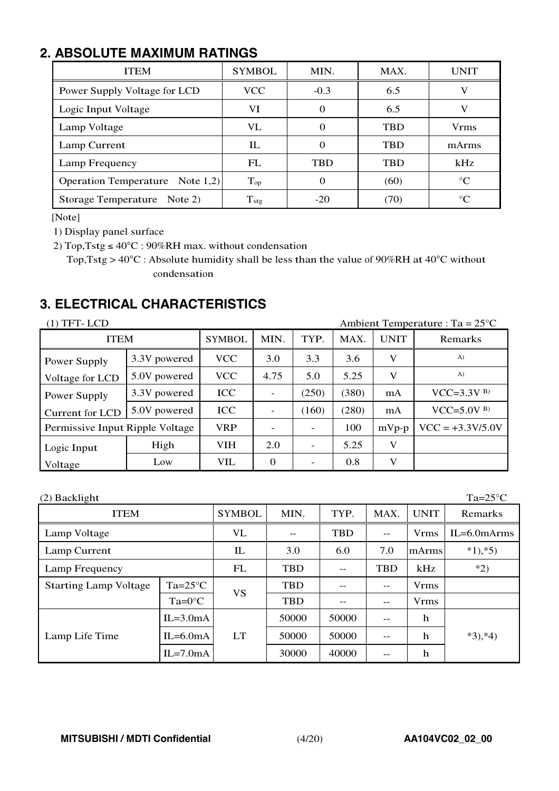# **2. ABSOLUTE MAXIMUM RATINGS**

| <b>ITEM</b>                     | <b>SYMBOL</b> | MIN.       | MAX.       | UNIT        |
|---------------------------------|---------------|------------|------------|-------------|
| Power Supply Voltage for LCD    | <b>VCC</b>    | $-0.3$     | 6.5        | V           |
| Logic Input Voltage             | VI            | $\theta$   | 6.5        |             |
| Lamp Voltage                    | VL            |            | <b>TBD</b> | <b>Vrms</b> |
| Lamp Current                    | IL            |            | <b>TBD</b> | mArms       |
| Lamp Frequency                  | FL            | <b>TBD</b> | <b>TBD</b> | kHz         |
| Operation Temperature Note 1,2) | $T_{op}$      | 0          | (60)       | $^{\circ}C$ |
| Storage Temperature Note 2)     | $T_{\rm stg}$ | $-20$      | (70)       | $^{\circ}C$ |

[Note]

1) Display panel surface

2) Top,Tstg ≤  $40^{\circ}$ C : 90%RH max. without condensation

<sup>T</sup>op,Tstg <sup>&</sup>gt; <sup>40</sup>°<sup>C</sup> : Absolute humidity shall be less than the value of <sup>90</sup>%RH at <sup>40</sup>°<sup>C</sup> without condensation

# **3. ELECTRICAL CHARACTERISTICS**

| $(1)$ TFT-LCD<br>Ambient Temperature : Ta = $25^{\circ}$ C |              |               |          |       |       |             |                    |  |  |
|------------------------------------------------------------|--------------|---------------|----------|-------|-------|-------------|--------------------|--|--|
| <b>ITEM</b>                                                |              | <b>SYMBOL</b> | MIN.     | TYP.  | MAX.  | <b>UNIT</b> | Remarks            |  |  |
| Power Supply                                               | 3.3V powered | <b>VCC</b>    | 3.0      | 3.3   | 3.6   | V           | A)                 |  |  |
| Voltage for LCD                                            | 5.0V powered | <b>VCC</b>    | 4.75     | 5.0   | 5.25  | V           | $\mathbf{A}$       |  |  |
| Power Supply                                               | 3.3V powered | <b>ICC</b>    |          | (250) | (380) | mA          | $VCC=3.3V^{B}$     |  |  |
| Current for LCD                                            | 5.0V powered | <b>ICC</b>    |          | (160) | (280) | mA          | $VCC=5.0V^{B}$     |  |  |
| Permissive Input Ripple Voltage                            |              | <b>VRP</b>    |          |       | 100   | $mVp-p$     | $VCC = +3.3V/5.0V$ |  |  |
| Logic Input                                                | High         | <b>VIH</b>    | 2.0      |       | 5.25  | V           |                    |  |  |
| Voltage                                                    | Low          | VIL           | $\Omega$ |       | 0.8   | V           |                    |  |  |

(2) Backlight Ta=25°C ITEM SYMBOL MIN. TYP. MAX. UNIT Remarks Lamp Voltage  $\vert$  VL  $\vert$  --  $\vert$  TBD  $\vert$  --  $\vert$  Vrms  $\vert$  IL=6.0mArms Lamp Current  $\begin{array}{|c|c|c|c|c|c|c|c|} \hline \end{array}$  IL  $\begin{array}{|c|c|c|c|c|c|c|c|c|} \hline \end{array}$  3.0  $\begin{array}{|c|c|c|c|c|c|c|c|} \hline \end{array}$  7.0  $\begin{array}{|c|c|c|c|c|c|c|c|} \hline \end{array}$  \*1),\*5) Lamp Frequency  $\vert$  FL  $\vert$  TBD  $\vert$  - TBD  $\vert$  kHz  $\vert$  \*2) Starting Lamp Voltage  $T = 25^{\circ}C$  TBD  $\left[\begin{array}{c} 1 \\ -1 \end{array}\right]$  --  $\left[\begin{array}{ccc} 1 \\ \end{array}\right]$  Vrms Ta=0°C VS  $TBD$  --  $\vert$  --  $\vert$  Vrms  $|IL=3.0mA$   $| 50000 | 50000 | -1$  h Lamp Life Time  $|IL=6.0mA|LT| 50000 | 50000| -- | h | *3),*4)$  $\text{IL} = 7.0 \text{mA}$   $\mid$  30000  $\mid$  40000  $\mid$  --  $\mid$  h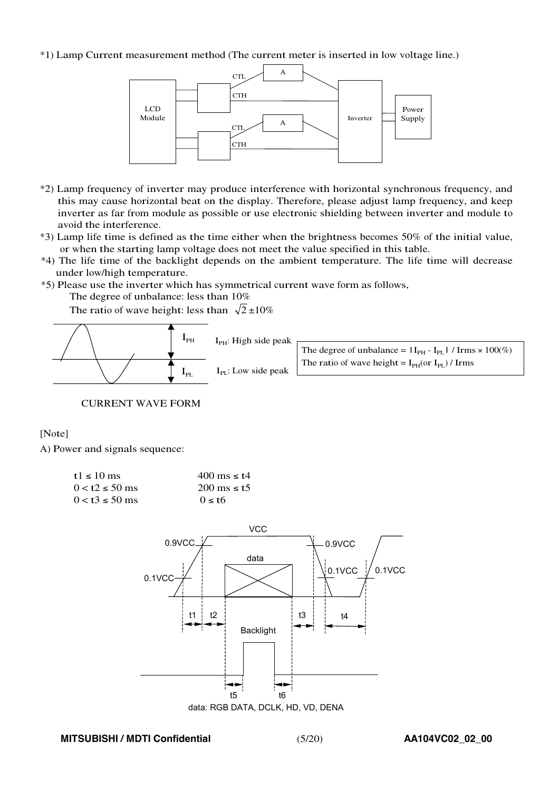#### \*1) Lamp Current measurement method (The current meter is inserted in low voltage line.)



- \*2) Lamp frequency of inverter may produce interference with horizontal synchronous frequency, and this may cause horizontal beat on the display. Therefore, please adjust lamp frequency, and keep inverter as far from module as possible or use electronic shielding between inverter and module to avoid the interference.
- \*3) Lamp life time is defined as the time either when the brightness becomes 50% of the initial value, or when the starting lamp voltage does not meet the value specified in this table.
- \*4) The life time of the backlight depends on the ambient temperature. The life time will decrease under low/high temperature.
- \*5) Please use the inverter which has symmetrical current wave form as follows,

The degree of unbalance: less than 10%

The ratio of wave height: less than  $\sqrt{2} \pm 10\%$ 



CURRENT WAVE FORM

[Note]

A) Power and signals sequence:

| t1 $\leq$ 10 ms       | 400 ms $\leq$ t4         |
|-----------------------|--------------------------|
| $0 < t2 \le 50$ ms    | $200 \text{ ms} \leq t5$ |
| $0 < t$ 3 $\le 50$ ms | $0 \leq t$               |



data: RGB DATA, DCLK, HD, VD, DENA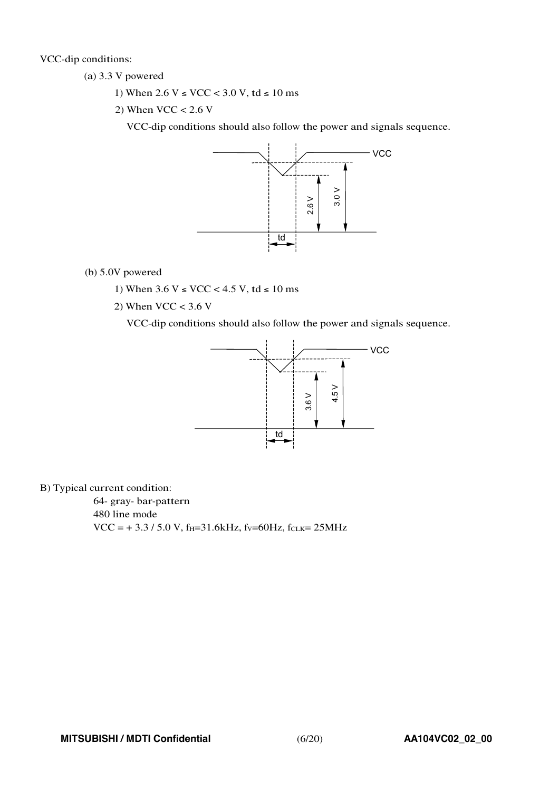VCC-dip conditions:

(a) 3.3 V powered

- 1) When  $2.6 V ≤ VCC < 3.0 V$ , td ≤ 10 ms
- 2) When  $VCC < 2.6$  V

VCC-dip conditions should also follow the power and signals sequence.



(b) 5.0V powered

- 1) When  $3.6 V ≤ VCC < 4.5 V$ , td ≤ 10 ms
- 2) When  $VCC < 3.6$  V

VCC-dip conditions should also follow the power and signals sequence.



B) Typical current condition:

64- gray- bar-pattern 480 line mode  $VCC = +3.3 / 5.0 V$ , f<sub>H</sub>=31.6kHz, fv=60Hz, fcLK= 25MHz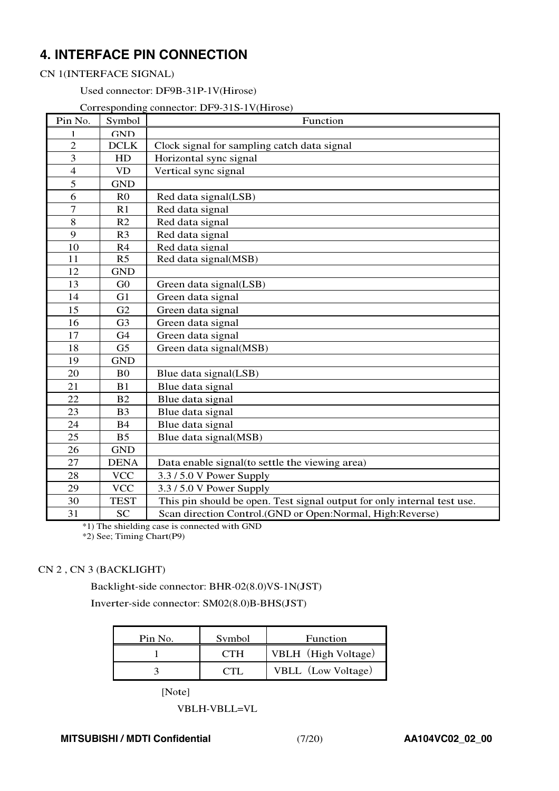# **4. INTERFACE PIN CONNECTION**

#### CN 1(INTERFACE SIGNAL)

Used connector: DF9B-31P-1V(Hirose)

#### Corresponding connector: DF9-31S-1V(Hirose)

| Pin No.          | Symbol         | Function                                                                |
|------------------|----------------|-------------------------------------------------------------------------|
| 1                | <b>GND</b>     |                                                                         |
| $\overline{2}$   | DCLK           | Clock signal for sampling catch data signal                             |
| 3                | HD             | Horizontal sync signal                                                  |
| $\overline{4}$   | <b>VD</b>      | Vertical sync signal                                                    |
| 5                | <b>GND</b>     |                                                                         |
| 6                | R <sub>0</sub> | Red data signal(LSB)                                                    |
| $\boldsymbol{7}$ | R1             | Red data signal                                                         |
| $\overline{8}$   | R <sub>2</sub> | Red data signal                                                         |
| 9                | R <sub>3</sub> | Red data signal                                                         |
| 10               | R <sub>4</sub> | Red data signal                                                         |
| 11               | R <sub>5</sub> | Red data signal(MSB)                                                    |
| 12               | <b>GND</b>     |                                                                         |
| 13               | G <sub>0</sub> | Green data signal(LSB)                                                  |
| 14               | G <sub>1</sub> | Green data signal                                                       |
| 15               | G2             | Green data signal                                                       |
| 16               | G <sub>3</sub> | Green data signal                                                       |
| 17               | G4             | Green data signal                                                       |
| 18               | G <sub>5</sub> | Green data signal(MSB)                                                  |
| 19               | <b>GND</b>     |                                                                         |
| 20               | B <sub>0</sub> | Blue data signal(LSB)                                                   |
| 21               | B <sub>1</sub> | Blue data signal                                                        |
| 22               | B2             | Blue data signal                                                        |
| 23               | B <sub>3</sub> | Blue data signal                                                        |
| 24               | <b>B4</b>      | Blue data signal                                                        |
| 25               | B <sub>5</sub> | Blue data signal(MSB)                                                   |
| 26               | <b>GND</b>     |                                                                         |
| 27               | <b>DENA</b>    | Data enable signal(to settle the viewing area)                          |
| 28               | <b>VCC</b>     | 3.3/5.0 V Power Supply                                                  |
| 29               | <b>VCC</b>     | 3.3/5.0 V Power Supply                                                  |
| 30               | <b>TEST</b>    | This pin should be open. Test signal output for only internal test use. |
| 31               | <b>SC</b>      | Scan direction Control.(GND or Open:Normal, High:Reverse)               |

\*1) The shielding case is connected with GND

\*2) See; Timing Chart(P9)

#### CN 2 , CN 3 (BACKLIGHT)

Backlight-side connector: BHR-02(8.0)VS-1N(JST)

Inverter-side connector: SM02(8.0)B-BHS(JST)

| Pin No. | Symbol     | Function            |
|---------|------------|---------------------|
|         | <b>CTH</b> | VBLH (High Voltage) |
|         |            | VBLL (Low Voltage)  |

[Note]

VBLH-VBLL=VL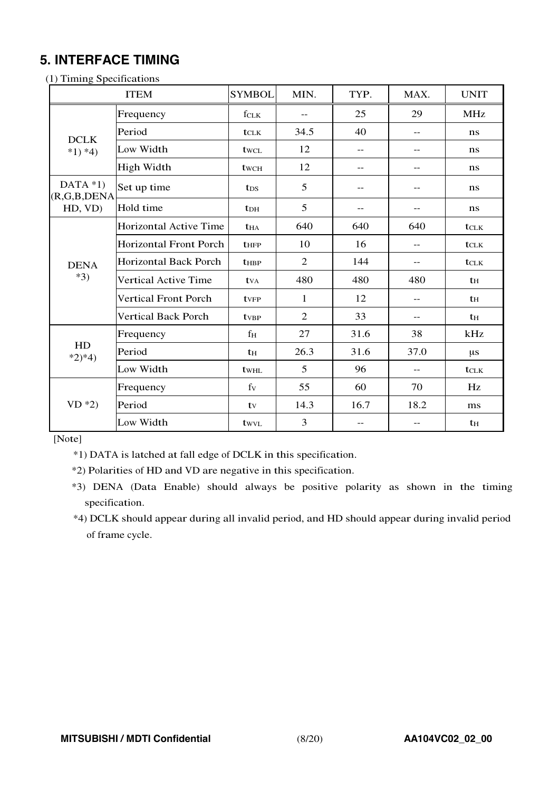# **5. INTERFACE TIMING**

| (1) Timing Specifications    |                               |                          |                |                   |       |               |  |  |
|------------------------------|-------------------------------|--------------------------|----------------|-------------------|-------|---------------|--|--|
|                              | <b>ITEM</b>                   | <b>SYMBOL</b>            | MIN.           | TYP.              | MAX.  | <b>UNIT</b>   |  |  |
|                              | Frequency                     | fclk                     | $-$            | 25                | 29    | <b>MHz</b>    |  |  |
| <b>DCLK</b>                  | Period                        | t <sub>CLK</sub>         | 34.5           | 40                | $- -$ | ns            |  |  |
| $*1) *4)$                    | Low Width                     | twcl                     | 12             | $-$               | $- -$ | ns            |  |  |
|                              | High Width                    | twch                     | 12             | $-$               | $-$   | ns            |  |  |
| DATA $*1)$<br>(R, G, B, DEM) | Set up time                   | t <sub>DS</sub>          | 5              | $\qquad \qquad -$ | --    | ns            |  |  |
| HD, VD)                      | Hold time                     | <b>t</b> <sub>DH</sub>   | 5              | $-$               | $-$   | ns            |  |  |
|                              | Horizontal Active Time        | <b>t</b> HA              | 640            | 640               | 640   | <b>t</b> CLK  |  |  |
|                              | <b>Horizontal Front Porch</b> | $t_{\text{HFP}}$         | 10             | 16                | $-$   | $t_{CLK}$     |  |  |
| <b>DENA</b>                  | <b>Horizontal Back Porch</b>  | <b>t</b> HBP             | $\overline{2}$ | 144               | $- -$ | tclk          |  |  |
| $*3)$                        | Vertical Active Time          | <b>t</b> v <sub>A</sub>  | 480            | 480               | 480   | th            |  |  |
|                              | <b>Vertical Front Porch</b>   | <b>t</b> <sub>VFP</sub>  | 1              | 12                | --    | th            |  |  |
|                              | <b>Vertical Back Porch</b>    | <b>t</b> v <sub>BP</sub> | $\overline{2}$ | 33                | $-$   | th            |  |  |
|                              | Frequency                     | f <sub>H</sub>           | 27             | 31.6              | 38    | kHz           |  |  |
| HD<br>$*2)*4)$               | Period                        | $t_H$                    | 26.3           | 31.6              | 37.0  | $\mu$ s       |  |  |
|                              | Low Width                     | twhl                     | 5              | 96                | $-$   | $t_{\rm CLK}$ |  |  |
|                              | Frequency                     | fy                       | 55             | 60                | 70    | Hz            |  |  |
| $VD *2)$                     | Period                        | ty                       | 14.3           | 16.7              | 18.2  | ms            |  |  |
|                              | Low Width                     | twyl                     | 3              | $-$               | $-$   | $t_{\rm H}$   |  |  |

[Note]

\*1) DATA is latched at fall edge of DCLK in this specification.

\*2) Polarities of HD and VD are negative in this specification.

\*3) DENA (Data Enable) should always be positive polarity as shown in the timing specification.

\*4) DCLK should appear during all invalid period, and HD should appear during invalid period of frame cycle.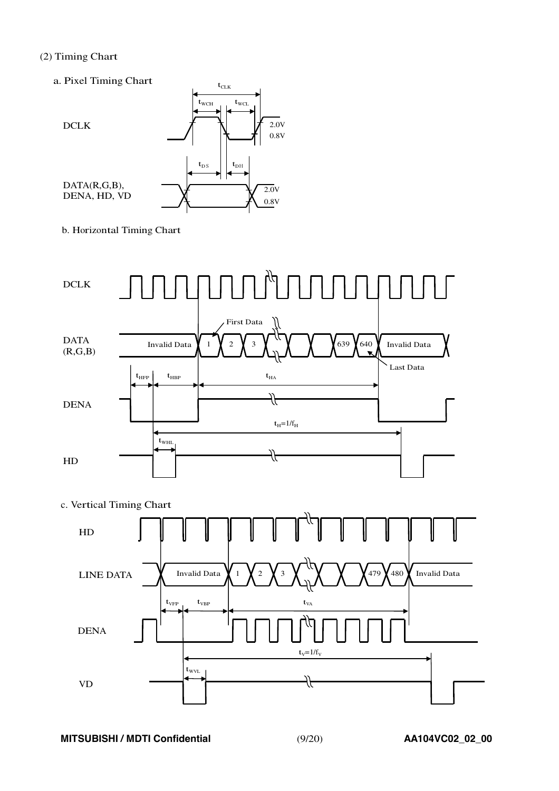#### (2) Timing Chart

a. Pixel Timing Chart



b. Horizontal Timing Chart





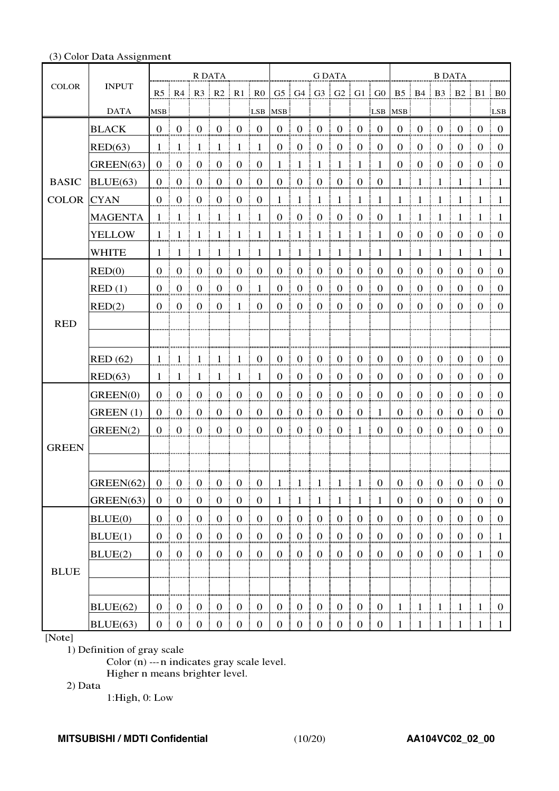#### (3) Color Data Assignment

|                   |                 | R DATA         |                     |                                                        |                                   |                                       | <b>G DATA</b>                     |                |                                   |                        |                                   |                  | <b>B DATA</b>       |                  |                                   |                     |                |                                                                       |                |
|-------------------|-----------------|----------------|---------------------|--------------------------------------------------------|-----------------------------------|---------------------------------------|-----------------------------------|----------------|-----------------------------------|------------------------|-----------------------------------|------------------|---------------------|------------------|-----------------------------------|---------------------|----------------|-----------------------------------------------------------------------|----------------|
| <b>COLOR</b>      | <b>INPUT</b>    |                |                     | $R5 \nvert R4 \nvert R3 \nvert R2 \nvert R1 \nvert R0$ |                                   |                                       |                                   |                |                                   |                        | G5   G4   G3   G2   G1   G0       |                  |                     |                  |                                   |                     |                | $B5 \parallel B4 \parallel B3 \parallel B2 \parallel B1 \parallel B0$ |                |
|                   | <b>DATA</b>     | <b>MSB</b>     |                     |                                                        |                                   |                                       | LSB:                              | <b>MSB</b>     |                                   |                        |                                   |                  | LSB MSB             |                  |                                   |                     |                |                                                                       | LSB            |
|                   | <b>BLACK</b>    |                | 0:0:0               |                                                        | $\blacksquare$ 0                  |                                       | $0 \pm 0$                         |                | $0 \t 0 \t 0$                     |                        | $\pm 0$                           | $0 \pm 0$        |                     |                  | $0 \pm 0$                         | $\mathbf{0}$        | $0 \pm 0$      |                                                                       | $\pm 0$        |
|                   | RED(63)         | $\pm$          | -1                  | -1                                                     | -1                                | -1                                    | $\pm$ 1                           | $\mathbf{0}$   | $\overline{0}$                    | $\boldsymbol{0}$       | $\mathbf{0}$                      | $\overline{0}$   | $\overline{0}$      | $\theta$         | $\boldsymbol{0}$                  | $\boldsymbol{0}$    | $\overline{0}$ | $\begin{matrix} 0 \end{matrix}$                                       | $\Omega$       |
|                   | GREEN(63)       | $\overline{0}$ | $\overline{0}$      | $\overline{0}$                                         | $\overline{0}$                    | $\mathbf{0}$                          | $\overline{0}$                    | -1             | -1                                | $\mathbf{1}$           | -1                                | -1               | $\overline{1}$      | $\boldsymbol{0}$ | $\boldsymbol{0}$                  | $\mathbf{0}$        | $\overline{0}$ | $\theta$                                                              | $\Omega$       |
| <b>BASIC</b>      | BLUE(63)        | $0 \nvert 0$   |                     | $\overline{0}$                                         | $\begin{array}{cc} 0 \end{array}$ | $\mathbf{0}$                          | $\overline{0}$                    | 0              | $\overline{0}$                    | $\frac{1}{2}$ 0        | $\boldsymbol{0}$                  | $\overline{0}$   | $\bf{0}$            | $\mathbf{1}$     | $\pm 1$                           | -1                  | - 1            | 8 I 8                                                                 | -1             |
| <b>COLOR</b> CYAN |                 | 0 <sup>1</sup> | $\overline{0}$      | $\overline{0}$                                         | $\mathbf{0}$                      | $\mathbf{0}$                          | $\begin{array}{cc} 0 \end{array}$ |                | $1 \nmid 1$                       | $\frac{1}{2}$ 1        | $\mathbf{1}$                      | $\overline{1}$   | $\overline{1}$      | $\mathbf{1}$     | $\pm 1$                           | -1                  | $1 \nmid 1$    |                                                                       | $\pm$ 1        |
|                   | <b>MAGENTA</b>  | $\mathbf{1}$   | -1                  | -1                                                     | -1                                | -1                                    | -1                                | $\overline{0}$ | $\overline{0}$                    | $\mathbf{0}$           | $\mathbf{0}$                      | $\overline{0}$   | $\overline{0}$<br>÷ | 1                | $\vdash 1$                        | -1                  | -1             | -1                                                                    | -1             |
|                   | <b>YELLOW</b>   | $1 - i$        | -1                  | -1                                                     | -1                                | -1                                    | $\pm$ 1                           | 1              | $\pm 1$                           | $\pm$ 1                | $\mathbf{1}$                      | -1               | - 1                 | $\overline{0}$   | $\boldsymbol{0}$<br>Ŧ.            | $\mathbf{0}$        | $0 \quad 0$    |                                                                       | $\bf{0}$       |
|                   | <b>WHITE</b>    |                | $1 \pm 1$           | $\pm 1 \pm 1$                                          |                                   | -1                                    | - 1                               |                | $1 \pm 1 \pm 1$                   | - E                    | -1                                | - 1<br>- 3       | - 1                 | $\mathbf{1}$     | $\pm~1$                           | -1                  | $1 \pm 1$      |                                                                       | $\pm$ 1.       |
|                   | RED(0)          |                | $0 \quad 0 \quad 0$ |                                                        | $\pm 0$                           | $\bf{0}$                              | $\overline{0}$                    |                | $0 \t0 \t0$                       |                        | $\overline{0}$<br>÷               | $0$ :            | $\overline{0}$      | $\overline{0}$   | 0 <sup>1</sup>                    | $\overline{0}$      |                | $0 \quad 0 \quad$                                                     | $\Omega$       |
|                   | RED(1)          | 0 <sup>1</sup> | $\overline{0}$      | $\overline{0}$                                         | $\overline{0}$                    | $\mathbf{0}$                          | -1                                | $0$ :          | $\mathbf{0}$                      | $\boldsymbol{0}$       | $\boldsymbol{0}$                  | $\boldsymbol{0}$ | $\overline{0}$      | $\boldsymbol{0}$ | $\boldsymbol{0}$                  | $\mathbf{0}$        | $\overline{0}$ | $\Omega$                                                              | $\Omega$       |
|                   | RED(2)          |                | $0 \quad 0$         | $\begin{array}{cc} 0 \end{array}$                      | $\begin{array}{c} 0 \end{array}$  | $1 \pm$                               | $\overline{0}$                    | 0 <sup>1</sup> | $\overline{0}$                    | $\pm 0$                | $\mathbf{0}$<br>÷<br>- 1          | 0 <sup>1</sup>   | $\bf{0}$            | $\overline{0}$   | $\overline{0}$<br>ŧ               | $\mathbf{0}$        |                | $0 \quad 0 \quad$                                                     | $\overline{0}$ |
| <b>RED</b>        |                 |                |                     |                                                        |                                   |                                       |                                   |                |                                   |                        |                                   |                  |                     |                  |                                   |                     |                |                                                                       |                |
|                   |                 |                |                     |                                                        |                                   |                                       |                                   |                |                                   |                        |                                   |                  |                     |                  |                                   |                     |                |                                                                       |                |
|                   | <b>RED</b> (62) | 1:             | -1                  | $\perp$                                                | -1                                | $\mathbf{1}$                          | $\bf{0}$                          | $\overline{0}$ | $\boldsymbol{0}$                  | $\bf{0}$               | $\overline{0}$                    | $\overline{0}$   | $\overline{0}$      | $\mathbf{0}$     | $\boldsymbol{0}$                  | $\overline{0}$      | $\bf{0}$       | $\bf{0}$                                                              | $\theta$       |
|                   | RED(63)         | 1.             | -1                  | $\mathbf{1}$                                           | - 1                               | -1                                    | -1                                | 0 <sup>1</sup> | $\overline{0}$                    | $\boldsymbol{0}$<br>Ŧ. | $\overline{0}$                    | 0 <sup>1</sup>   | $\overline{0}$      | $\Omega$         | $\boldsymbol{0}$                  | $\theta$            | 0 <sup>1</sup> | $0 \pm 0$                                                             |                |
|                   | GREEN(0)        | $0 \pm 0$      |                     | $\overline{0}$                                         | $\overline{0}$                    | $\overline{0}$                        | $\Omega$                          | $\overline{0}$ | $\overline{0}$                    | $\overline{0}$         | $\overline{0}$                    | $\Omega$         | $\Omega$            | $\Omega$         | $\overline{0}$                    | $\overline{0}$      | $\bf{0}$       | $\overline{0}$                                                        | $\Omega$       |
|                   | GREEN(1)        | 0 <sup>1</sup> | $\overline{0}$      | $\overline{0}$                                         | $\boldsymbol{0}$                  | $\overline{0}$                        | $\overline{0}$                    | 0 <sup>1</sup> | $\boldsymbol{0}$                  | $\mathbf{0}$           | $\mathbf{0}$                      | $\boldsymbol{0}$ | $\overline{1}$      | $\boldsymbol{0}$ | $\boldsymbol{0}$                  | $\overline{0}$      | $\overline{0}$ | $\Omega$                                                              | $\pm 0$        |
|                   | GREEN(2)        | $0 \nvert 0$   |                     | $\overline{0}$                                         | $\frac{1}{2}$ 0                   | $\mathbf{0}$                          | $\frac{1}{2}$ 0                   | $\overline{0}$ | $\mathbf{0}$                      | $\overline{0}$         | $\mathbf{0}$<br>ŧ                 | $\mathbf{1}$     | $\overline{0}$      | $\mathbf{0}$     | $\boldsymbol{0}$                  | $\mathbf{0}$        | $\bf{0}$       | $\bf{0}$                                                              | $\overline{0}$ |
| <b>GREEN</b>      |                 |                |                     |                                                        |                                   |                                       |                                   |                |                                   |                        |                                   |                  |                     |                  |                                   |                     |                |                                                                       |                |
|                   |                 |                |                     |                                                        |                                   |                                       |                                   |                |                                   |                        |                                   |                  |                     |                  |                                   |                     |                |                                                                       |                |
|                   | GREEN(62)       | $\mathbf{0}$   |                     | $0 \pm 0 \pm 0 \pm 1$                                  |                                   | $\overline{0}$                        | $\overline{0}$                    |                | $\pm 1$                           | 1                      | $\mathbf{1}$                      |                  | $\mathbf{0}$        | $\overline{0}$   | $\mathbf{0}$                      | $\pm 0$ i           | 0 <sup>1</sup> | $\bf{0}$                                                              | $\theta$       |
|                   | GREEN(63)       |                |                     | 0 0 0 0 0 0 0 0 0                                      |                                   |                                       |                                   |                |                                   | $1 \t1 \t1 \t1$        |                                   | $-1$ i $1$ i     | -1                  |                  |                                   |                     |                | 0 0 0 0 0 0 0 0                                                       |                |
|                   | BLUE(0)         |                |                     | $0 \t 0 \t 0 \t 0$                                     |                                   | $\begin{bmatrix} 0 & 0 \end{bmatrix}$ |                                   |                | $0 \mid 0 \mid 0$                 |                        |                                   |                  |                     | $\overline{0}$   | $\begin{array}{cc} 0 \end{array}$ |                     |                | $0 \t 0 \t 0 \t 0$                                                    |                |
|                   | BLUE(1)         | $0 \quad 0$    |                     | $\begin{matrix} 0 \end{matrix}$                        | $\begin{array}{cc} 0 \end{array}$ | $\begin{array}{cc} 0 \end{array}$     | $\begin{array}{cc} 0 \end{array}$ | $\overline{0}$ | $\begin{array}{cc} 0 \end{array}$ | $\frac{1}{2}$ 0        | $\overline{0}$                    | $\vert 0 \vert$  | $\overline{0}$      | $\overline{0}$   | $\boldsymbol{0}$                  | $\mathbf{0}$        |                | $0 \mid 0 \mid 1$                                                     |                |
|                   | BLUE(2)         |                |                     | $0 \t 0 \t 0 \t 0$                                     |                                   |                                       | $0 \quad 0$                       |                | $0 \mid 0 \mid 0$                 |                        | $\begin{array}{cc} 0 \end{array}$ | $0 \quad 0$      |                     | $\overline{0}$   | $\bf{0}$                          | $\mathbf{0}$<br>- 1 |                | $0 \mid 1 \mid 0$                                                     |                |
| <b>BLUE</b>       |                 |                |                     |                                                        |                                   |                                       |                                   |                |                                   |                        |                                   |                  |                     |                  |                                   |                     |                |                                                                       |                |
|                   |                 |                |                     |                                                        |                                   |                                       |                                   |                |                                   |                        |                                   |                  |                     |                  |                                   |                     |                |                                                                       |                |
|                   | BLUE(62)        |                |                     |                                                        |                                   |                                       |                                   |                |                                   |                        |                                   |                  |                     |                  |                                   |                     |                | $1 \mid 1 \mid 1 \mid 1 \mid 1 \mid 0$                                |                |
|                   | BLUE(63)        |                |                     | $0 \t0 \t0 \t0 \t0 \t0$                                |                                   |                                       |                                   |                |                                   |                        | 0 0 0 0 0 0 0                     |                  |                     |                  |                                   |                     |                | $1 \mid 1 \mid 1 \mid 1 \mid 1 \mid 1$                                |                |

#### [Note]

1) Definition of gray scale

Color (n) --- n indicates gray scale level.

Higher n means brighter level.

2) Data

1:High, 0: Low

#### **MITSUBISHI / MDTI Confidential** (10/20) **AA104VC02\_02\_00**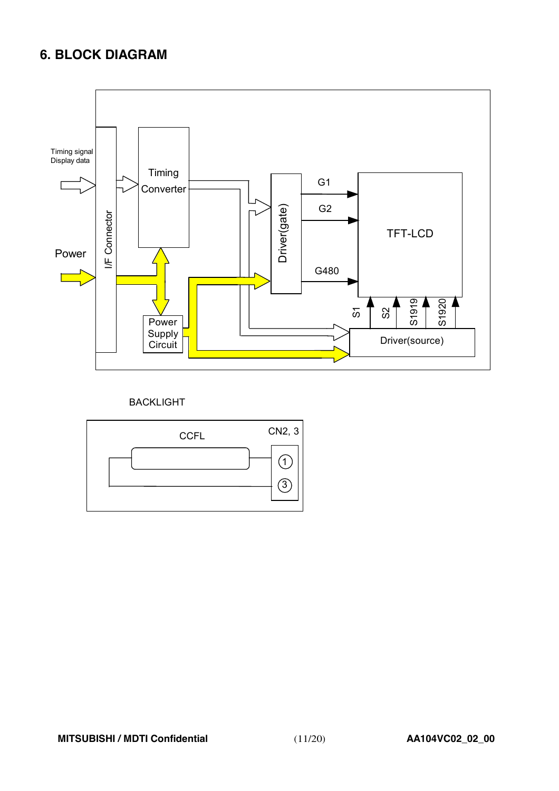# **6. BLOCK DIAGRAM**



#### BACKLIGHT

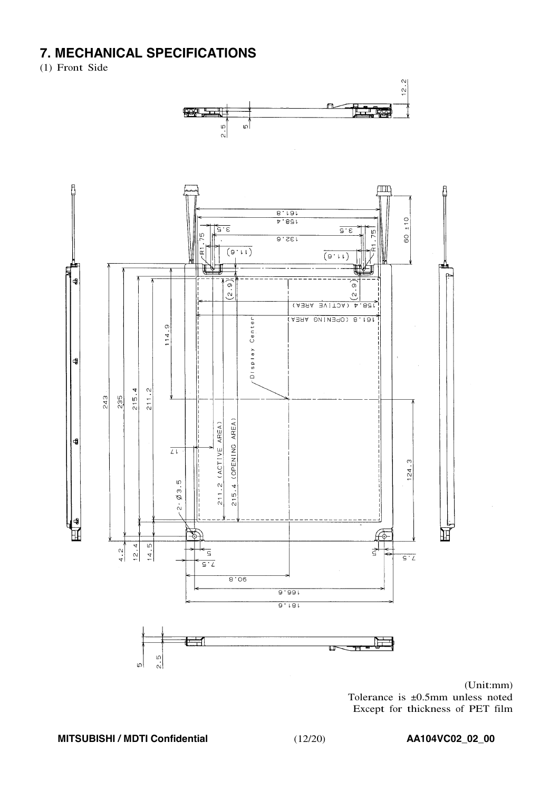# **7. MECHANICAL SPECIFICATIONS**

(1) Front Side



 $(Unit:mm)$ Tolerance is ±0.5mm unless noted Except for thickness of PET film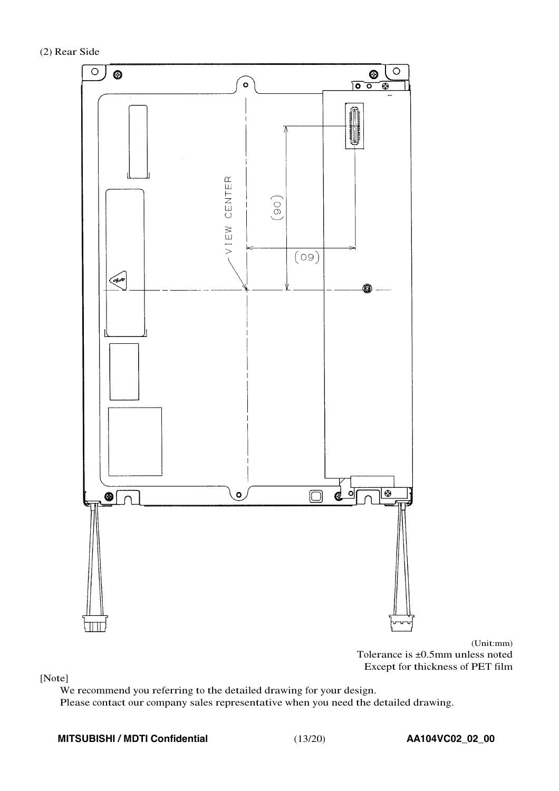(2) Rear Side



(Unit:mm) Tolerance is ±0.5mm unless noted Except for thickness of PET film

[Note]

We recommend you referring to the detailed drawing for your design.

Please contact our company sales representative when you need the detailed drawing.

#### **MITSUBISHI / MDTI Confidential** (13/20) **AA104VC02\_02\_00**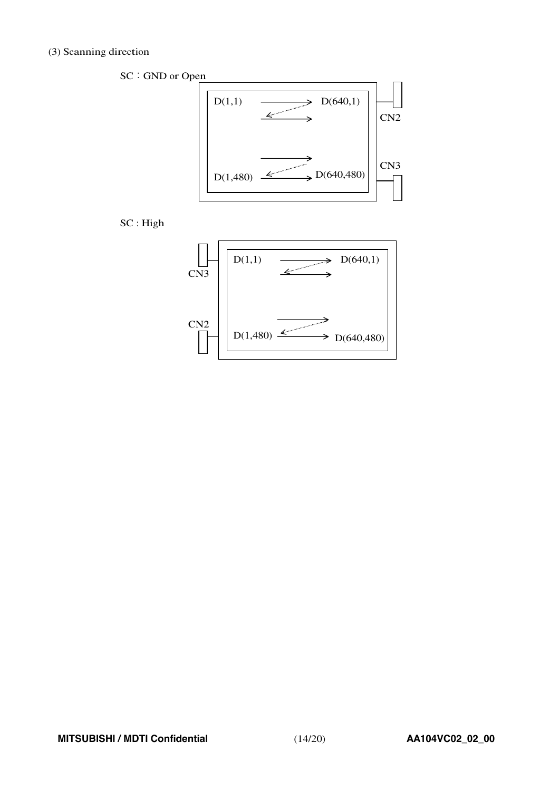#### (3) Scanning direction

SC: GND or Open  $D(1,1)$   $\longrightarrow$   $D(640,1)$  $\mathcal{L}$ CN2 **Contract Contract** CN3  $D(1,480) \xrightarrow{\swarrow} D(640,480)$ 

SC : High

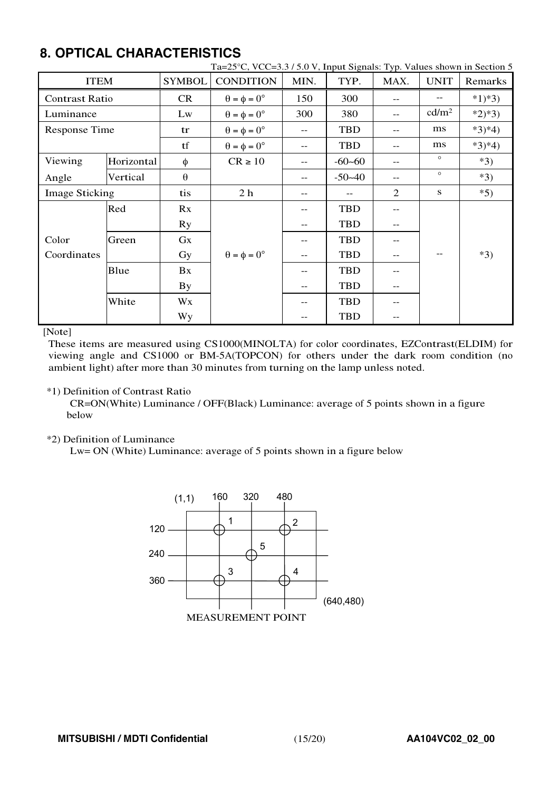# **8. OPTICAL CHARACTERISTICS**

| <b>ITEM</b>           |            | <b>SYMBOL</b> | <b>CONDITION</b>            | MIN.   | TYP.       | MAX.           | <b>UNIT</b>       | $\tau \in \mathbb{C}$ , $\tau$ , $\tau$ , $\tau$ , $\tau$ , $\tau$ , $\tau$ , $\tau$ , $\tau$ , $\tau$ , $\tau$ , $\tau$ , $\tau$ , $\tau$ , $\tau$ , $\tau$ , $\tau$ , $\tau$ , $\tau$ , $\tau$ , $\tau$ , $\tau$ , $\tau$ , $\tau$ , $\tau$ , $\tau$ , $\tau$ , $\tau$ , $\tau$ , $\tau$ , $\tau$ , $\tau$ , $\tau$ , $\tau$ , $\tau$<br>Remarks |
|-----------------------|------------|---------------|-----------------------------|--------|------------|----------------|-------------------|----------------------------------------------------------------------------------------------------------------------------------------------------------------------------------------------------------------------------------------------------------------------------------------------------------------------------------------------------|
| <b>Contrast Ratio</b> |            | CR            | $\theta = \phi = 0^{\circ}$ | 150    | 300        | $- -$          |                   | $*1)*3)$                                                                                                                                                                                                                                                                                                                                           |
| Luminance             |            | Lw            | $\theta = \phi = 0^{\circ}$ | 300    | 380        | $- -$          | cd/m <sup>2</sup> | $*2)*3)$                                                                                                                                                                                                                                                                                                                                           |
| <b>Response Time</b>  |            | tr            | $\theta = \phi = 0^{\circ}$ | $-$    | <b>TBD</b> | $-$            | ms                | $*3)*4)$                                                                                                                                                                                                                                                                                                                                           |
|                       |            | tf            | $\theta = \phi = 0^{\circ}$ | --     | <b>TBD</b> | --             | ms                | $*3)*4)$                                                                                                                                                                                                                                                                                                                                           |
| Viewing               | Horizontal | φ             | $CR \ge 10$                 | --     | $-60-60$   | --             | $\circ$           | $*3)$                                                                                                                                                                                                                                                                                                                                              |
| Vertical<br>Angle     |            | $\theta$      |                             | $-$    | $-50 - 40$ | --             | $\circ$           | $*3)$                                                                                                                                                                                                                                                                                                                                              |
| <b>Image Sticking</b> |            | tis           | 2 <sub>h</sub>              | $-\,-$ |            | $\overline{2}$ | S                 | $*5)$                                                                                                                                                                                                                                                                                                                                              |
|                       | Red        | Rx            |                             |        | <b>TBD</b> | --             |                   |                                                                                                                                                                                                                                                                                                                                                    |
|                       |            | <b>Ry</b>     |                             | --     | <b>TBD</b> | $-\, -$        |                   |                                                                                                                                                                                                                                                                                                                                                    |
| Color                 | Green      | $G_{X}$       |                             |        | <b>TBD</b> | --             |                   |                                                                                                                                                                                                                                                                                                                                                    |
| Coordinates           |            | Gy            | $\theta = \phi = 0^{\circ}$ | --     | <b>TBD</b> | --             |                   | $*3)$                                                                                                                                                                                                                                                                                                                                              |
|                       | Blue       | Bx            |                             |        | <b>TBD</b> | --             |                   |                                                                                                                                                                                                                                                                                                                                                    |
|                       |            | <b>By</b>     |                             | --     | <b>TBD</b> | $-$            |                   |                                                                                                                                                                                                                                                                                                                                                    |
|                       | White      | Wx            |                             |        | <b>TBD</b> |                |                   |                                                                                                                                                                                                                                                                                                                                                    |
|                       |            | Wy            |                             |        | <b>TBD</b> | --             |                   |                                                                                                                                                                                                                                                                                                                                                    |

#### Ta=25°C, VCC=3.3 / 5.0 V, Input Signals: Typ. Values shown in Section 5

[Note]

These items are measured using CS1000(MINOLTA) for color coordinates, EZContrast(ELDIM) for viewing angle and CS1000 or BM-5A(TOPCON) for others under the dark room condition (no ambient light) after more than 30 minutes from turning on the lamp unless noted.

#### \*1) Definition of Contrast Ratio

CR=ON(White) Luminance / OFF(Black) Luminance: average of 5 points shown in a figure below

#### \*2) Definition of Luminance

Lw= ON (White) Luminance: average of 5 points shown in a figure below

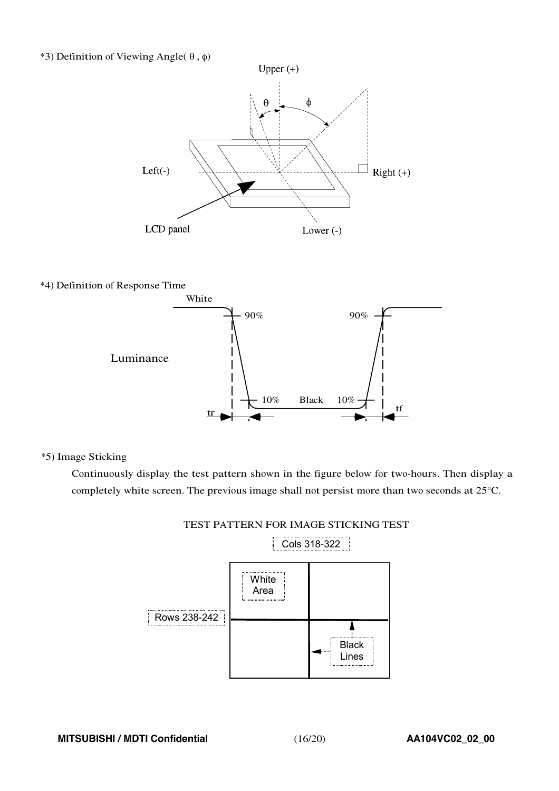#### \*3) Definition of Viewing Angle( $\theta$ ,  $\phi$ )



\*4) Definition of Response Time



\*5) Image Sticking

Continuously display the test pattern shown in the figure below for two-hours. Then display a completely white screen. The previous image shall not persist more than two seconds at 25°C.



TEST PATTERN FOR IMAGE STICKING TEST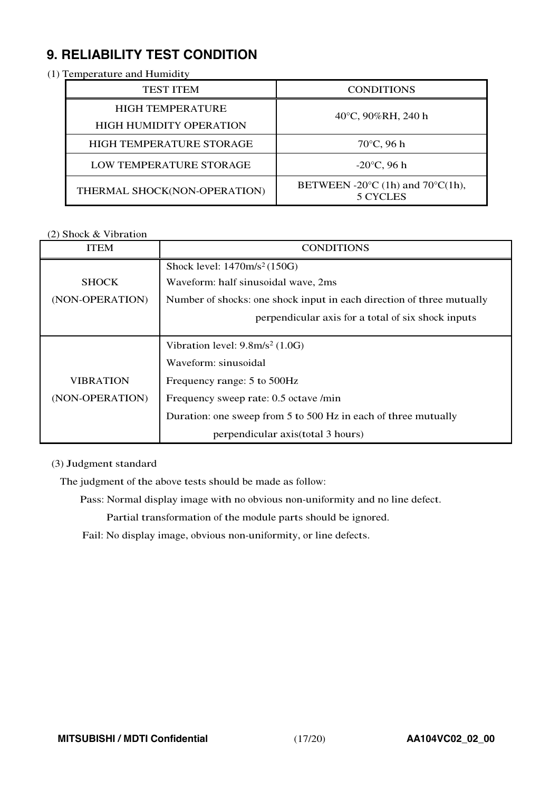# **9. RELIABILITY TEST CONDITION**

#### (1) Temperature and Humidity

| <b>TEST ITEM</b>               | <b>CONDITIONS</b>                                                |  |  |  |  |
|--------------------------------|------------------------------------------------------------------|--|--|--|--|
| <b>HIGH TEMPERATURE</b>        | $40^{\circ}$ C, 90%RH, 240 h                                     |  |  |  |  |
| <b>HIGH HUMIDITY OPERATION</b> |                                                                  |  |  |  |  |
| HIGH TEMPERATURE STORAGE       | $70^{\circ}$ C, 96 h                                             |  |  |  |  |
| LOW TEMPERATURE STORAGE        | $-20^{\circ}$ C, 96 h                                            |  |  |  |  |
| THERMAL SHOCK(NON-OPERATION)   | BETWEEN -20 $\degree$ C (1h) and 70 $\degree$ C(1h),<br>5 CYCLES |  |  |  |  |

#### (2) Shock & Vibration

| <b>ITEM</b>      | <b>CONDITIONS</b>                                                     |
|------------------|-----------------------------------------------------------------------|
|                  | Shock level: $1470m/s^2(150G)$                                        |
| <b>SHOCK</b>     | Waveform: half sinusoidal wave, 2ms                                   |
| (NON-OPERATION)  | Number of shocks: one shock input in each direction of three mutually |
|                  | perpendicular axis for a total of six shock inputs                    |
|                  |                                                                       |
|                  | Vibration level: $9.8 \text{m/s}^2$ (1.0G)                            |
|                  | Waveform: sinusoidal                                                  |
| <b>VIBRATION</b> | Frequency range: 5 to 500Hz                                           |
| (NON-OPERATION)  | Frequency sweep rate: 0.5 octave /min                                 |
|                  | Duration: one sweep from 5 to 500 Hz in each of three mutually        |
|                  | perpendicular axis (total 3 hours)                                    |

#### (3) Judgment standard

The judgment of the above tests should be made as follow:

Pass: Normal display image with no obvious non-uniformity and no line defect.

Partial transformation of the module parts should be ignored.

Fail: No display image, obvious non-uniformity, or line defects.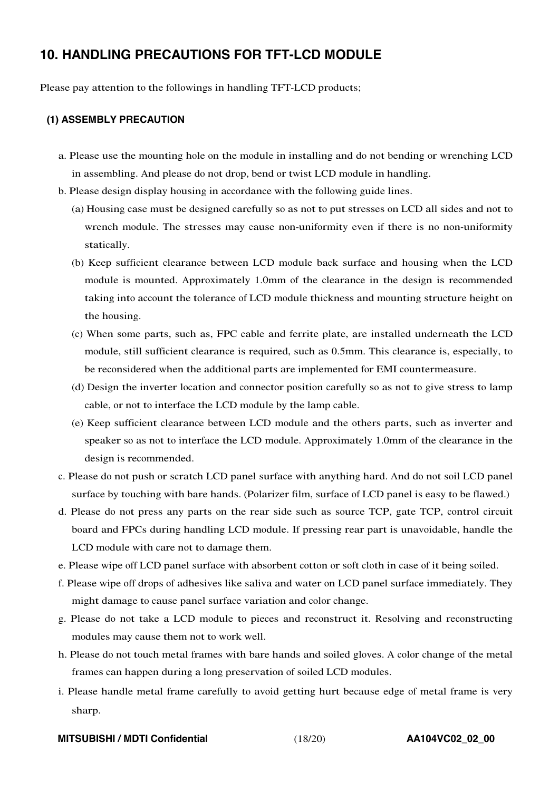### **10. HANDLING PRECAUTIONS FOR TFT-LCD MODULE**

Please pay attention to the followings in handling TFT-LCD products;

#### **(1) ASSEMBLY PRECAUTION**

- a. Please use the mounting hole on the module in installing and do not bending or wrenching LCD in assembling. And please do not drop, bend or twist LCD module in handling.
- b. Please design display housing in accordance with the following guide lines.
	- (a) Housing case must be designed carefully so as not to put stresses on LCD all sides and not to wrench module. The stresses may cause non-uniformity even if there is no non-uniformity statically.
	- (b) Keep sufficient clearance between LCD module back surface and housing when the LCD module is mounted. Approximately 1.0mm of the clearance in the design is recommended taking into account the tolerance of LCD module thickness and mounting structure height on the housing.
	- (c) When some parts, such as, FPC cable and ferrite plate, are installed underneath the LCD module, still sufficient clearance is required, such as 0.5mm. This clearance is, especially, to be reconsidered when the additional parts are implemented for EMI countermeasure.
	- (d) Design the inverter location and connector position carefully so as not to give stress to lamp cable, or not to interface the LCD module by the lamp cable.
	- (e) Keep sufficient clearance between LCD module and the others parts, such as inverter and speaker so as not to interface the LCD module. Approximately 1.0mm of the clearance in the design is recommended.
- c. Please do not push or scratch LCD panel surface with anything hard. And do not soil LCD panel surface by touching with bare hands. (Polarizer film, surface of LCD panel is easy to be flawed.)
- d. Please do not press any parts on the rear side such as source TCP, gate TCP, control circuit board and FPCs during handling LCD module. If pressing rear part is unavoidable, handle the LCD module with care not to damage them.
- e. Please wipe off LCD panel surface with absorbent cotton or soft cloth in case of it being soiled.
- f. Please wipe off drops of adhesives like saliva and water on LCD panel surface immediately. They might damage to cause panel surface variation and color change.
- g. Please do not take a LCD module to pieces and reconstruct it. Resolving and reconstructing modules may cause them not to work well.
- h. Please do not touch metal frames with bare hands and soiled gloves. A color change of the metal frames can happen during a long preservation of soiled LCD modules.
- i. Please handle metal frame carefully to avoid getting hurt because edge of metal frame is very sharp.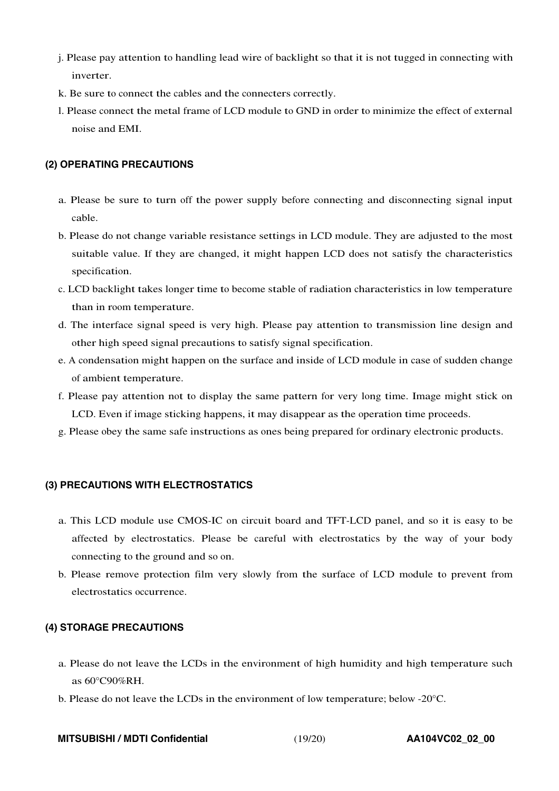- j. Please pay attention to handling lead wire of backlight so that it is not tugged in connecting with inverter.
- k. Be sure to connect the cables and the connecters correctly.
- l. Please connect the metal frame of LCD module to GND in order to minimize the effect of external noise and EMI.

#### **(2) OPERATING PRECAUTIONS**

- a. Please be sure to turn off the power supply before connecting and disconnecting signal input cable.
- b. Please do not change variable resistance settings in LCD module. They are adjusted to the most suitable value. If they are changed, it might happen LCD does not satisfy the characteristics specification.
- c. LCD backlight takes longer time to become stable of radiation characteristics in low temperature than in room temperature.
- d. The interface signal speed is very high. Please pay attention to transmission line design and other high speed signal precautions to satisfy signal specification.
- e. A condensation might happen on the surface and inside of LCD module in case of sudden change of ambient temperature.
- f. Please pay attention not to display the same pattern for very long time. Image might stick on LCD. Even if image sticking happens, it may disappear as the operation time proceeds.
- g. Please obey the same safe instructions as ones being prepared for ordinary electronic products.

#### **(3) PRECAUTIONS WITH ELECTROSTATICS**

- a. This LCD module use CMOS-IC on circuit board and TFT-LCD panel, and so it is easy to be affected by electrostatics. Please be careful with electrostatics by the way of your body connecting to the ground and so on.
- b. Please remove protection film very slowly from the surface of LCD module to prevent from electrostatics occurrence.

#### **(4) STORAGE PRECAUTIONS**

- a. Please do not leave the LCDs in the environment of high humidity and high temperature such as 60°C90%RH.
- b. Please do not leave the LCDs in the environment of low temperature; below -20°C.

**MITSUBISHI / MDTI Confidential** (19/20) **AA104VC02\_02\_00**